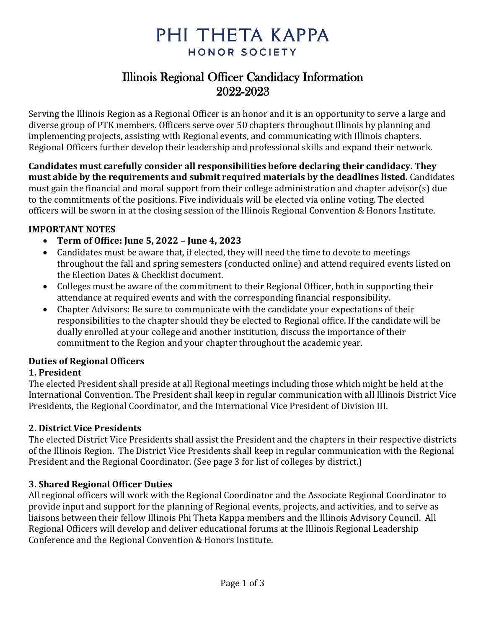# PHI THETA KAPPA HONOR SOCIETY

# Illinois Regional Officer Candidacy Information 2022-2023

Serving the Illinois Region as a Regional Officer is an honor and it is an opportunity to serve a large and diverse group of PTK members. Officers serve over 50 chapters throughout Illinois by planning and implementing projects, assisting with Regional events, and communicating with Illinois chapters. Regional Officers further develop their leadership and professional skills and expand their network.

**Candidates must carefully consider all responsibilities before declaring their candidacy. They must abide by the requirements and submit required materials by the deadlines listed.** Candidates must gain the financial and moral support from their college administration and chapter advisor(s) due to the commitments of the positions. Five individuals will be elected via online voting. The elected officers will be sworn in at the closing session of the Illinois Regional Convention & Honors Institute.

# **IMPORTANT NOTES**

- **Term of Office: June 5, 2022 – June 4, 2023**
- Candidates must be aware that, if elected, they will need the time to devote to meetings throughout the fall and spring semesters (conducted online) and attend required events listed on the Election Dates & Checklist document.
- Colleges must be aware of the commitment to their Regional Officer, both in supporting their attendance at required events and with the corresponding financial responsibility.
- Chapter Advisors: Be sure to communicate with the candidate your expectations of their responsibilities to the chapter should they be elected to Regional office. If the candidate will be dually enrolled at your college and another institution, discuss the importance of their commitment to the Region and your chapter throughout the academic year.

# **Duties of Regional Officers**

# **1. President**

The elected President shall preside at all Regional meetings including those which might be held at the International Convention. The President shall keep in regular communication with all Illinois District Vice Presidents, the Regional Coordinator, and the International Vice President of Division III.

# **2. District Vice Presidents**

The elected District Vice Presidents shall assist the President and the chapters in their respective districts of the Illinois Region. The District Vice Presidents shall keep in regular communication with the Regional President and the Regional Coordinator. (See page 3 for list of colleges by district.)

# **3. Shared Regional Officer Duties**

All regional officers will work with the Regional Coordinator and the Associate Regional Coordinator to provide input and support for the planning of Regional events, projects, and activities, and to serve as liaisons between their fellow Illinois Phi Theta Kappa members and the Illinois Advisory Council. All Regional Officers will develop and deliver educational forums at the Illinois Regional Leadership Conference and the Regional Convention & Honors Institute.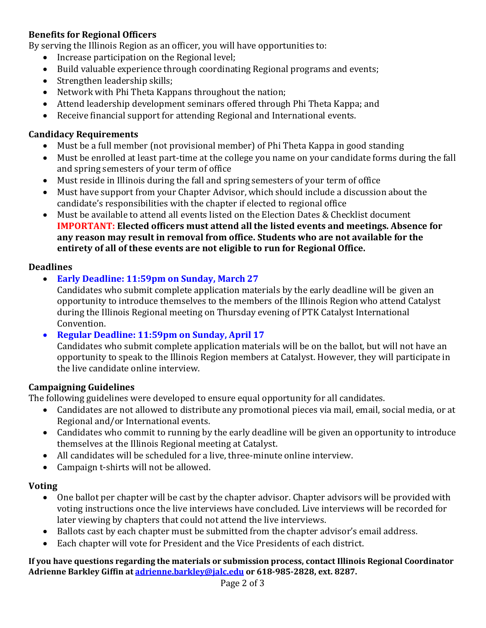# **Benefits for Regional Officers**

By serving the Illinois Region as an officer, you will have opportunities to:

- Increase participation on the Regional level;
- Build valuable experience through coordinating Regional programs and events;
- Strengthen leadership skills;
- Network with Phi Theta Kappans throughout the nation;
- Attend leadership development seminars offered through Phi Theta Kappa; and
- Receive financial support for attending Regional and International events.

### **Candidacy Requirements**

- Must be a full member (not provisional member) of Phi Theta Kappa in good standing
- Must be enrolled at least part-time at the college you name on your candidate forms during the fall and spring semesters of your term of office
- Must reside in Illinois during the fall and spring semesters of your term of office
- Must have support from your Chapter Advisor, which should include a discussion about the candidate's responsibilities with the chapter if elected to regional office
- Must be available to attend all events listed on the Election Dates & Checklist document **IMPORTANT: Elected officers must attend all the listed events and meetings. Absence for any reason may result in removal from office. Students who are not available for the entirety of all of these events are not eligible to run for Regional Office.**

#### **Deadlines**

• **Early Deadline: 11:59pm on Sunday, March 27**

Candidates who submit complete application materials by the early deadline will be given an opportunity to introduce themselves to the members of the Illinois Region who attend Catalyst during the Illinois Regional meeting on Thursday evening of PTK Catalyst International Convention.

# • **Regular Deadline: 11:59pm on Sunday, April 17**

Candidates who submit complete application materials will be on the ballot, but will not have an opportunity to speak to the Illinois Region members at Catalyst. However, they will participate in the live candidate online interview.

#### **Campaigning Guidelines**

The following guidelines were developed to ensure equal opportunity for all candidates.

- Candidates are not allowed to distribute any promotional pieces via mail, email, social media, or at Regional and/or International events.
- Candidates who commit to running by the early deadline will be given an opportunity to introduce themselves at the Illinois Regional meeting at Catalyst.
- All candidates will be scheduled for a live, three-minute online interview.
- Campaign t-shirts will not be allowed.

# **Voting**

- One ballot per chapter will be cast by the chapter advisor. Chapter advisors will be provided with voting instructions once the live interviews have concluded. Live interviews will be recorded for later viewing by chapters that could not attend the live interviews.
- Ballots cast by each chapter must be submitted from the chapter advisor's email address.
- Each chapter will vote for President and the Vice Presidents of each district.

**If you have questions regarding the materials or submission process, contact Illinois Regional Coordinator Adrienne Barkley Giffin a[t adrienne.barkley@jalc.edu](mailto:adrienne.barkley@jalc.edu) or 618-985-2828, ext. 8287.**